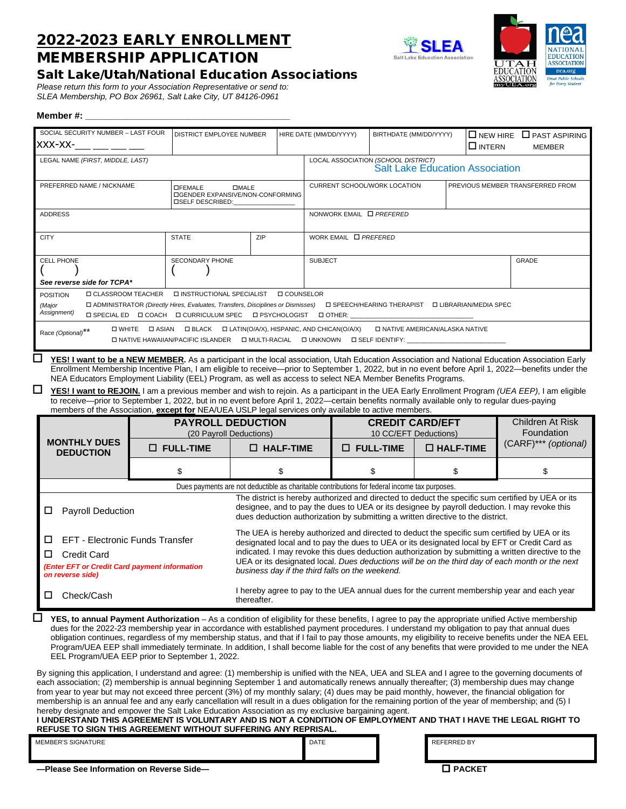# 2022-2023 EARLY ENROLLMENT MEMBERSHIP APPLICATION





# Salt Lake/Utah/National Education Associations

*Please return this form to your Association Representative or send to: SLEA Membership, PO Box 26961, Salt Lake City, UT 84126-0961*

# **Member #: \_\_\_\_\_\_\_\_\_\_\_\_\_\_\_\_\_\_\_\_\_\_\_\_\_\_\_\_\_\_\_\_\_\_\_\_\_\_\_\_**

| SOCIAL SECURITY NUMBER - LAST FOUR                                                                                                                                                                                                                                                                    |  | DISTRICT EMPLOYEE NUMBER                                                                                                           |              |                        | HIRE DATE (MM/DD/YYYY)                                                                                                                                                                                                                                             |                                        | BIRTHDATE (MM/DD/YYYY) |                     | $\Box$ NEW HIRE $\Box$ PAST ASPIRING |                                                                                                                                                                                                    |  |  |  |  |
|-------------------------------------------------------------------------------------------------------------------------------------------------------------------------------------------------------------------------------------------------------------------------------------------------------|--|------------------------------------------------------------------------------------------------------------------------------------|--------------|------------------------|--------------------------------------------------------------------------------------------------------------------------------------------------------------------------------------------------------------------------------------------------------------------|----------------------------------------|------------------------|---------------------|--------------------------------------|----------------------------------------------------------------------------------------------------------------------------------------------------------------------------------------------------|--|--|--|--|
| XXX-XX-                                                                                                                                                                                                                                                                                               |  |                                                                                                                                    |              |                        |                                                                                                                                                                                                                                                                    |                                        |                        |                     | <b>O INTERN</b><br>MEMBER            |                                                                                                                                                                                                    |  |  |  |  |
| LEGAL NAME (FIRST, MIDDLE, LAST)                                                                                                                                                                                                                                                                      |  |                                                                                                                                    |              |                        |                                                                                                                                                                                                                                                                    | LOCAL ASSOCIATION (SCHOOL DISTRICT)    |                        |                     |                                      |                                                                                                                                                                                                    |  |  |  |  |
|                                                                                                                                                                                                                                                                                                       |  |                                                                                                                                    |              |                        |                                                                                                                                                                                                                                                                    | <b>Salt Lake Education Association</b> |                        |                     |                                      |                                                                                                                                                                                                    |  |  |  |  |
| PREFERRED NAME / NICKNAME<br><b>OFEMALE</b><br><b>DISELF DESCRIBED:</b>                                                                                                                                                                                                                               |  |                                                                                                                                    | <b>DMALE</b> |                        |                                                                                                                                                                                                                                                                    | CURRENT SCHOOL/WORK LOCATION           |                        |                     |                                      | PREVIOUS MEMBER TRANSFERRED FROM                                                                                                                                                                   |  |  |  |  |
|                                                                                                                                                                                                                                                                                                       |  | <b>IDGENDER EXPANSIVE/NON-CONFORMING</b>                                                                                           |              |                        |                                                                                                                                                                                                                                                                    |                                        |                        |                     |                                      |                                                                                                                                                                                                    |  |  |  |  |
| <b>ADDRESS</b>                                                                                                                                                                                                                                                                                        |  |                                                                                                                                    |              |                        |                                                                                                                                                                                                                                                                    | NONWORK EMAIL <b>D</b> PREFERED        |                        |                     |                                      |                                                                                                                                                                                                    |  |  |  |  |
|                                                                                                                                                                                                                                                                                                       |  |                                                                                                                                    |              |                        |                                                                                                                                                                                                                                                                    |                                        |                        |                     |                                      |                                                                                                                                                                                                    |  |  |  |  |
| <b>CITY</b>                                                                                                                                                                                                                                                                                           |  | <b>STATE</b>                                                                                                                       | ZIP          |                        | WORK EMAIL <b>D</b> PREFERED                                                                                                                                                                                                                                       |                                        |                        |                     |                                      |                                                                                                                                                                                                    |  |  |  |  |
|                                                                                                                                                                                                                                                                                                       |  |                                                                                                                                    |              |                        |                                                                                                                                                                                                                                                                    |                                        |                        |                     |                                      |                                                                                                                                                                                                    |  |  |  |  |
| <b>CELL PHONE</b>                                                                                                                                                                                                                                                                                     |  | SECONDARY PHONE                                                                                                                    |              |                        | <b>SUBJECT</b>                                                                                                                                                                                                                                                     |                                        |                        |                     |                                      | GRADE                                                                                                                                                                                              |  |  |  |  |
| See reverse side for TCPA*                                                                                                                                                                                                                                                                            |  |                                                                                                                                    |              |                        |                                                                                                                                                                                                                                                                    |                                        |                        |                     |                                      |                                                                                                                                                                                                    |  |  |  |  |
| <b>D CLASSROOM TEACHER</b><br><b>POSITION</b>                                                                                                                                                                                                                                                         |  | INSTRUCTIONAL SPECIALIST                                                                                                           |              | <b>LI COUNSELOR</b>    |                                                                                                                                                                                                                                                                    |                                        |                        |                     |                                      |                                                                                                                                                                                                    |  |  |  |  |
| (Major                                                                                                                                                                                                                                                                                                |  | □ ADMINISTRATOR (Directly Hires, Evaluates, Transfers, Disciplines or Dismisses) □ SPEECH/HEARING THERAPIST □ LIBRARIAN/MEDIA SPEC |              |                        |                                                                                                                                                                                                                                                                    |                                        |                        |                     |                                      |                                                                                                                                                                                                    |  |  |  |  |
| Assignment)                                                                                                                                                                                                                                                                                           |  | □ SPECIAL ED □ COACH □ CURRICULUM SPEC                                                                                             |              | <b>II PSYCHOLOGIST</b> | <b>DOTHER:</b>                                                                                                                                                                                                                                                     |                                        |                        |                     |                                      |                                                                                                                                                                                                    |  |  |  |  |
| Race (Optional)**                                                                                                                                                                                                                                                                                     |  | □ WHITE □ ASIAN □ BLACK □ LATIN(O/A/X), HISPANIC, AND CHICAN(O/A/X)                                                                |              |                        |                                                                                                                                                                                                                                                                    | <b>D NATIVE AMERICAN/ALASKA NATIVE</b> |                        |                     |                                      |                                                                                                                                                                                                    |  |  |  |  |
|                                                                                                                                                                                                                                                                                                       |  | □ NATIVE HAWAIIAN/PACIFIC ISLANDER □ MULTI-RACIAL □ UNKNOWN □ SELF IDENTIFY:                                                       |              |                        |                                                                                                                                                                                                                                                                    |                                        |                        |                     |                                      |                                                                                                                                                                                                    |  |  |  |  |
| □<br>YES! I want to be a NEW MEMBER. As a participant in the local association, Utah Education Association and National Education Association Early                                                                                                                                                   |  |                                                                                                                                    |              |                        |                                                                                                                                                                                                                                                                    |                                        |                        |                     |                                      |                                                                                                                                                                                                    |  |  |  |  |
|                                                                                                                                                                                                                                                                                                       |  |                                                                                                                                    |              |                        |                                                                                                                                                                                                                                                                    |                                        |                        |                     |                                      |                                                                                                                                                                                                    |  |  |  |  |
|                                                                                                                                                                                                                                                                                                       |  |                                                                                                                                    |              |                        | Enrollment Membership Incentive Plan, I am eligible to receive--prior to September 1, 2022, but in no event before April 1, 2022-benefits under the<br>NEA Educators Employment Liability (EEL) Program, as well as access to select NEA Member Benefits Programs. |                                        |                        |                     |                                      |                                                                                                                                                                                                    |  |  |  |  |
|                                                                                                                                                                                                                                                                                                       |  |                                                                                                                                    |              |                        |                                                                                                                                                                                                                                                                    |                                        |                        |                     |                                      |                                                                                                                                                                                                    |  |  |  |  |
| $\Box$<br>YES! I want to REJOIN. I am a previous member and wish to rejoin. As a participant in the UEA Early Enrollment Program (UEA EEP), I am eligible                                                                                                                                             |  |                                                                                                                                    |              |                        |                                                                                                                                                                                                                                                                    |                                        |                        |                     |                                      |                                                                                                                                                                                                    |  |  |  |  |
| to receive-prior to September 1, 2022, but in no event before April 1, 2022-certain benefits normally available only to regular dues-paying                                                                                                                                                           |  |                                                                                                                                    |              |                        |                                                                                                                                                                                                                                                                    |                                        |                        |                     |                                      |                                                                                                                                                                                                    |  |  |  |  |
| members of the Association, <b>except for</b> NEA/UEA USLP legal services only available to active members.                                                                                                                                                                                           |  | <b>PAYROLL DEDUCTION</b>                                                                                                           |              |                        |                                                                                                                                                                                                                                                                    | <b>CREDIT CARD/EFT</b>                 |                        |                     |                                      | <b>Children At Risk</b>                                                                                                                                                                            |  |  |  |  |
|                                                                                                                                                                                                                                                                                                       |  | (20 Payroll Deductions)                                                                                                            |              |                        |                                                                                                                                                                                                                                                                    | 10 CC/EFT Deductions)                  |                        |                     |                                      | Foundation                                                                                                                                                                                         |  |  |  |  |
| <b>MONTHLY DUES</b><br><b>DEDUCTION</b>                                                                                                                                                                                                                                                               |  | $\square$ FULL-TIME                                                                                                                |              | $\Box$ HALF-TIME       |                                                                                                                                                                                                                                                                    | $\square$ FULL-TIME                    |                        | $\square$ HALF-TIME |                                      | (CARF)*** (optional)                                                                                                                                                                               |  |  |  |  |
|                                                                                                                                                                                                                                                                                                       |  | \$                                                                                                                                 |              | \$                     |                                                                                                                                                                                                                                                                    | \$                                     |                        | \$                  |                                      | \$                                                                                                                                                                                                 |  |  |  |  |
|                                                                                                                                                                                                                                                                                                       |  | Dues payments are not deductible as charitable contributions for federal income tax purposes.                                      |              |                        |                                                                                                                                                                                                                                                                    |                                        |                        |                     |                                      |                                                                                                                                                                                                    |  |  |  |  |
|                                                                                                                                                                                                                                                                                                       |  |                                                                                                                                    |              |                        |                                                                                                                                                                                                                                                                    |                                        |                        |                     |                                      | The district is hereby authorized and directed to deduct the specific sum certified by UEA or its                                                                                                  |  |  |  |  |
| $\Box$ Payroll Deduction                                                                                                                                                                                                                                                                              |  |                                                                                                                                    |              |                        |                                                                                                                                                                                                                                                                    |                                        |                        |                     |                                      | designee, and to pay the dues to UEA or its designee by payroll deduction. I may revoke this                                                                                                       |  |  |  |  |
|                                                                                                                                                                                                                                                                                                       |  |                                                                                                                                    |              |                        | dues deduction authorization by submitting a written directive to the district.                                                                                                                                                                                    |                                        |                        |                     |                                      |                                                                                                                                                                                                    |  |  |  |  |
| □                                                                                                                                                                                                                                                                                                     |  |                                                                                                                                    |              |                        |                                                                                                                                                                                                                                                                    |                                        |                        |                     |                                      | The UEA is hereby authorized and directed to deduct the specific sum certified by UEA or its                                                                                                       |  |  |  |  |
| <b>EFT - Electronic Funds Transfer</b>                                                                                                                                                                                                                                                                |  |                                                                                                                                    |              |                        |                                                                                                                                                                                                                                                                    |                                        |                        |                     |                                      | designated local and to pay the dues to UEA or its designated local by EFT or Credit Card as<br>indicated. I may revoke this dues deduction authorization by submitting a written directive to the |  |  |  |  |
| <b>Credit Card</b><br>□.                                                                                                                                                                                                                                                                              |  |                                                                                                                                    |              |                        |                                                                                                                                                                                                                                                                    |                                        |                        |                     |                                      | UEA or its designated local. Dues deductions will be on the third day of each month or the next                                                                                                    |  |  |  |  |
| (Enter EFT or Credit Card payment information<br>on reverse side)                                                                                                                                                                                                                                     |  |                                                                                                                                    |              |                        | business day if the third falls on the weekend.                                                                                                                                                                                                                    |                                        |                        |                     |                                      |                                                                                                                                                                                                    |  |  |  |  |
| □.                                                                                                                                                                                                                                                                                                    |  |                                                                                                                                    |              |                        |                                                                                                                                                                                                                                                                    |                                        |                        |                     |                                      | I hereby agree to pay to the UEA annual dues for the current membership year and each year                                                                                                         |  |  |  |  |
| Check/Cash                                                                                                                                                                                                                                                                                            |  |                                                                                                                                    | thereafter.  |                        |                                                                                                                                                                                                                                                                    |                                        |                        |                     |                                      |                                                                                                                                                                                                    |  |  |  |  |
| ⊔<br>YES, to annual Payment Authorization - As a condition of eligibility for these benefits, I agree to pay the appropriate unified Active membership                                                                                                                                                |  |                                                                                                                                    |              |                        |                                                                                                                                                                                                                                                                    |                                        |                        |                     |                                      |                                                                                                                                                                                                    |  |  |  |  |
| dues for the 2022-23 membership year in accordance with established payment procedures. I understand my obligation to pay that annual dues<br>obligation continues, regardless of my membership status, and that if I fail to pay those amounts, my eligibility to receive benefits under the NEA EEL |  |                                                                                                                                    |              |                        |                                                                                                                                                                                                                                                                    |                                        |                        |                     |                                      |                                                                                                                                                                                                    |  |  |  |  |

EEL Program/UEA EEP prior to September 1, 2022.

By signing this application, I understand and agree: (1) membership is unified with the NEA, UEA and SLEA and I agree to the governing documents of each association; (2) membership is annual beginning September 1 and automatically renews annually thereafter; (3) membership dues may change from year to year but may not exceed three percent (3%) of my monthly salary; (4) dues may be paid monthly, however, the financial obligation for membership is an annual fee and any early cancellation will result in a dues obligation for the remaining portion of the year of membership; and (5) I hereby designate and empower the Salt Lake Education Association as my exclusive bargaining agent.

#### **I UNDERSTAND THIS AGREEMENT IS VOLUNTARY AND IS NOT A CONDITION OF EMPLOYMENT AND THAT I HAVE THE LEGAL RIGHT TO REFUSE TO SIGN THIS AGREEMENT WITHOUT SUFFERING ANY REPRISAL.**

MEMBER'S SIGNATURE THE REFERRED BY A SERIES OF A SERIES OF A SERIES OF A SERIES OF A SERIES OF A SERIES OF A SERIES OF A SERIES OF A SERIES OF A SERIES OF A SERIES OF A SERIES OF A SERIES OF A SERIES OF A SERIES OF A SERIE

**—Please See Information on Reverse Side— PACKET**